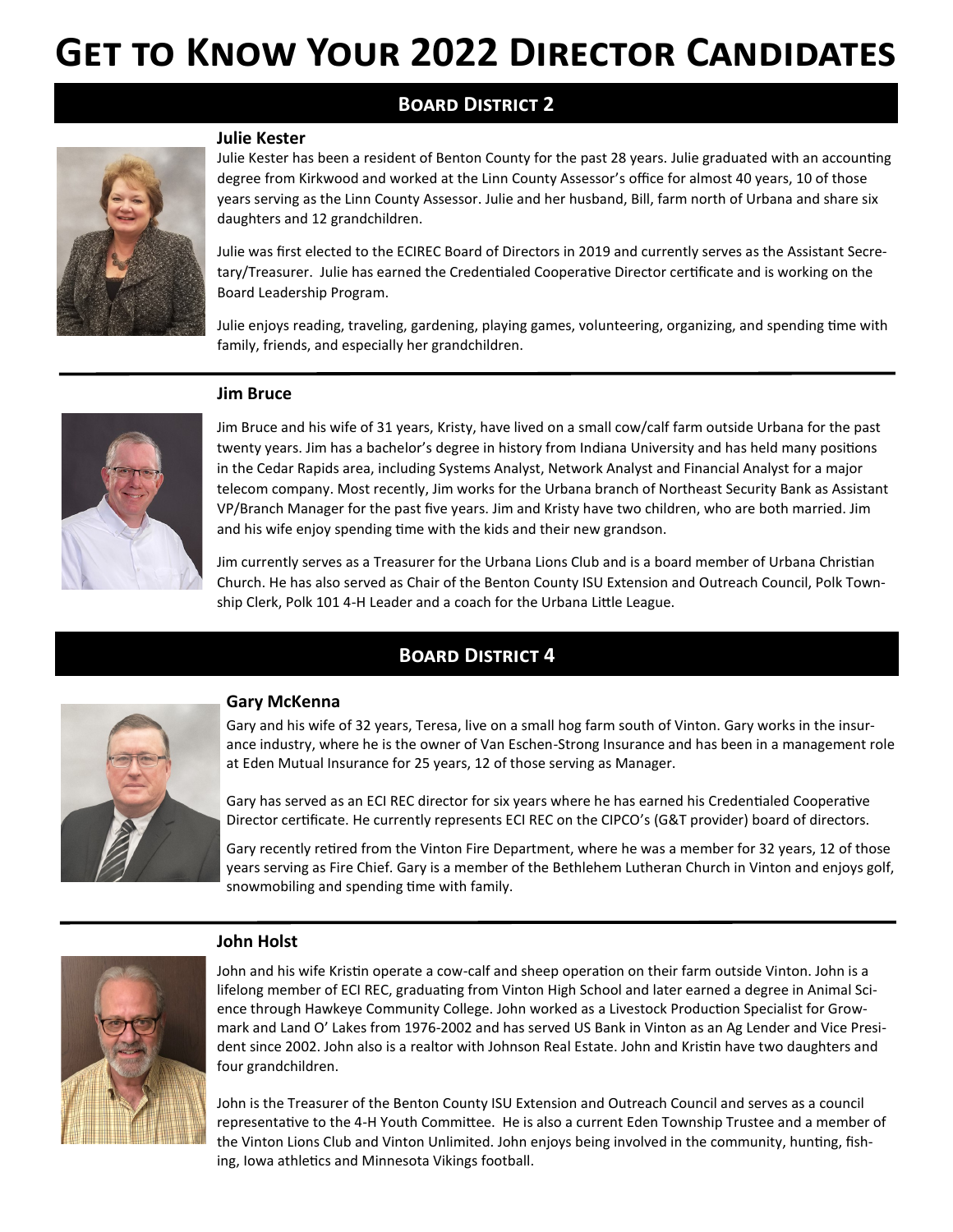# **Get to Know Your 2022 Director Candidates**

# **Board District 2**

#### **Julie Kester**



Julie Kester has been a resident of Benton County for the past 28 years. Julie graduated with an accounting degree from Kirkwood and worked at the Linn County Assessor's office for almost 40 years, 10 of those years serving as the Linn County Assessor. Julie and her husband, Bill, farm north of Urbana and share six daughters and 12 grandchildren.

Julie was first elected to the ECIREC Board of Directors in 2019 and currently serves as the Assistant Secretary/Treasurer. Julie has earned the Credentialed Cooperative Director certificate and is working on the Board Leadership Program.

Julie enjoys reading, traveling, gardening, playing games, volunteering, organizing, and spending time with family, friends, and especially her grandchildren.

## **Jim Bruce**



Jim Bruce and his wife of 31 years, Kristy, have lived on a small cow/calf farm outside Urbana for the past twenty years. Jim has a bachelor's degree in history from Indiana University and has held many positions in the Cedar Rapids area, including Systems Analyst, Network Analyst and Financial Analyst for a major telecom company. Most recently, Jim works for the Urbana branch of Northeast Security Bank as Assistant VP/Branch Manager for the past five years. Jim and Kristy have two children, who are both married. Jim and his wife enjoy spending time with the kids and their new grandson.

Jim currently serves as a Treasurer for the Urbana Lions Club and is a board member of Urbana Christian Church. He has also served as Chair of the Benton County ISU Extension and Outreach Council, Polk Township Clerk, Polk 101 4-H Leader and a coach for the Urbana Little League.

## **Board District 4**



### **Gary McKenna**

Gary and his wife of 32 years, Teresa, live on a small hog farm south of Vinton. Gary works in the insurance industry, where he is the owner of Van Eschen-Strong Insurance and has been in a management role at Eden Mutual Insurance for 25 years, 12 of those serving as Manager.

Gary has served as an ECI REC director for six years where he has earned his Credentialed Cooperative Director certificate. He currently represents ECI REC on the CIPCO's (G&T provider) board of directors.

Gary recently retired from the Vinton Fire Department, where he was a member for 32 years, 12 of those years serving as Fire Chief. Gary is a member of the Bethlehem Lutheran Church in Vinton and enjoys golf, snowmobiling and spending time with family.



#### **John Holst**

John and his wife Kristin operate a cow-calf and sheep operation on their farm outside Vinton. John is a lifelong member of ECI REC, graduating from Vinton High School and later earned a degree in Animal Science through Hawkeye Community College. John worked as a Livestock Production Specialist for Growmark and Land O' Lakes from 1976-2002 and has served US Bank in Vinton as an Ag Lender and Vice President since 2002. John also is a realtor with Johnson Real Estate. John and Kristin have two daughters and four grandchildren.

John is the Treasurer of the Benton County ISU Extension and Outreach Council and serves as a council representative to the 4-H Youth Committee. He is also a current Eden Township Trustee and a member of the Vinton Lions Club and Vinton Unlimited. John enjoys being involved in the community, hunting, fishing, Iowa athletics and Minnesota Vikings football.